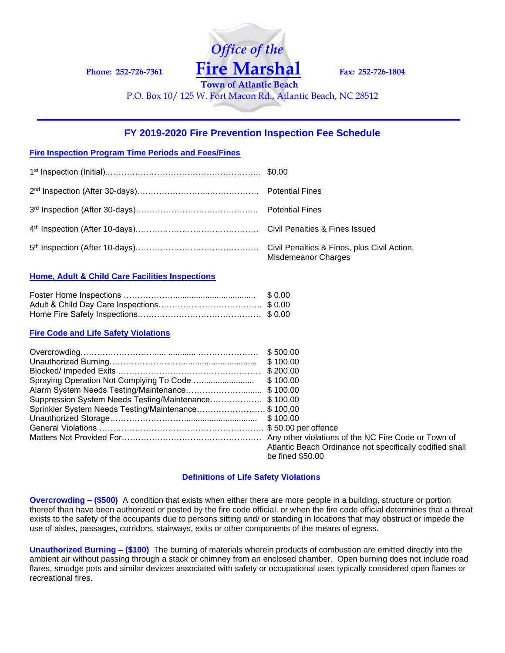**Phone: 252-726-7361 Fire Marshal Fax: 252-726-1804**

**Town of Atlantic Beach** P.O. Box 10/ 125 W. Fort Macon Rd., Atlantic Beach, NC 28512

 *Office of the*

## **FY 2019-2020 Fire Prevention Inspection Fee Schedule**

## **Fire Inspection Program Time Periods and Fees/Fines**

| <b>Misdemeanor Charges</b> |
|----------------------------|

## **Home, Adult & Child Care Facilities Inspections**

| \$ 0.00 |
|---------|
|         |
|         |

#### **Fire Code and Life Safety Violations**

| Suppression System Needs Testing/Maintenance\$ 100.00 |                                                          |
|-------------------------------------------------------|----------------------------------------------------------|
| Sprinkler System Needs Testing/Maintenance\$ 100.00   |                                                          |
|                                                       |                                                          |
|                                                       |                                                          |
|                                                       |                                                          |
|                                                       | Atlantic Beach Ordinance not specifically codified shall |
|                                                       | be fined \$50.00                                         |

#### **Definitions of Life Safety Violations**

**Overcrowding – (\$500)** A condition that exists when either there are more people in a building, structure or portion thereof than have been authorized or posted by the fire code official, or when the fire code official determines that a threat exists to the safety of the occupants due to persons sitting and/ or standing in locations that may obstruct or impede the use of aisles, passages, corridors, stairways, exits or other components of the means of egress.

**Unauthorized Burning – (\$100)** The burning of materials wherein products of combustion are emitted directly into the ambient air without passing through a stack or chimney from an enclosed chamber. Open burning does not include road flares, smudge pots and similar devices associated with safety or occupational uses typically considered open flames or recreational fires.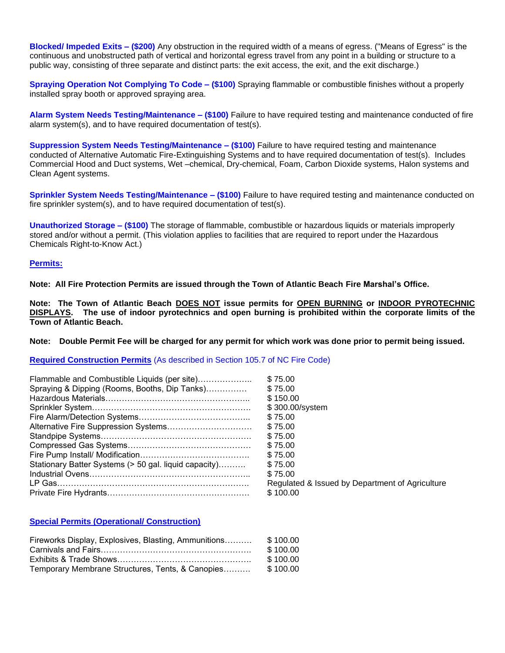**Blocked/ Impeded Exits – (\$200)** Any obstruction in the required width of a means of egress. ("Means of Egress" is the continuous and unobstructed path of vertical and horizontal egress travel from any point in a building or structure to a public way, consisting of three separate and distinct parts: the exit access, the exit, and the exit discharge.)

**Spraying Operation Not Complying To Code – (\$100)** Spraying flammable or combustible finishes without a properly installed spray booth or approved spraying area.

**Alarm System Needs Testing/Maintenance – (\$100)** Failure to have required testing and maintenance conducted of fire alarm system(s), and to have required documentation of test(s).

**Suppression System Needs Testing/Maintenance – (\$100)** Failure to have required testing and maintenance conducted of Alternative Automatic Fire-Extinguishing Systems and to have required documentation of test(s). Includes Commercial Hood and Duct systems, Wet –chemical, Dry-chemical, Foam, Carbon Dioxide systems, Halon systems and Clean Agent systems.

**Sprinkler System Needs Testing/Maintenance – (\$100)** Failure to have required testing and maintenance conducted on fire sprinkler system(s), and to have required documentation of test(s).

**Unauthorized Storage – (\$100)** The storage of flammable, combustible or hazardous liquids or materials improperly stored and/or without a permit. (This violation applies to facilities that are required to report under the Hazardous Chemicals Right-to-Know Act.)

## **Permits:**

**Note: All Fire Protection Permits are issued through the Town of Atlantic Beach Fire Marshal's Office.**

**Note: The Town of Atlantic Beach DOES NOT issue permits for OPEN BURNING or INDOOR PYROTECHNIC DISPLAYS. The use of indoor pyrotechnics and open burning is prohibited within the corporate limits of the Town of Atlantic Beach.**

**Note: Double Permit Fee will be charged for any permit for which work was done prior to permit being issued.**

**Required Construction Permits** (As described in Section 105.7 of NC Fire Code)

| Flammable and Combustible Liquids (per site)          | \$75.00                                         |
|-------------------------------------------------------|-------------------------------------------------|
|                                                       |                                                 |
| Spraying & Dipping (Rooms, Booths, Dip Tanks)         | \$75.00                                         |
|                                                       | \$150.00                                        |
|                                                       | \$300.00/system                                 |
|                                                       | \$75.00                                         |
|                                                       | \$75.00                                         |
|                                                       | \$75.00                                         |
|                                                       | \$75.00                                         |
|                                                       | \$75.00                                         |
| Stationary Batter Systems (> 50 gal. liquid capacity) | \$75.00                                         |
|                                                       | \$75.00                                         |
|                                                       | Regulated & Issued by Department of Agriculture |
|                                                       | \$100.00                                        |

## **Special Permits (Operational/ Construction)**

| Fireworks Display, Explosives, Blasting, Ammunitions |          |
|------------------------------------------------------|----------|
|                                                      | \$100.00 |
|                                                      | \$100.00 |
| Temporary Membrane Structures, Tents, & Canopies     | \$100.00 |